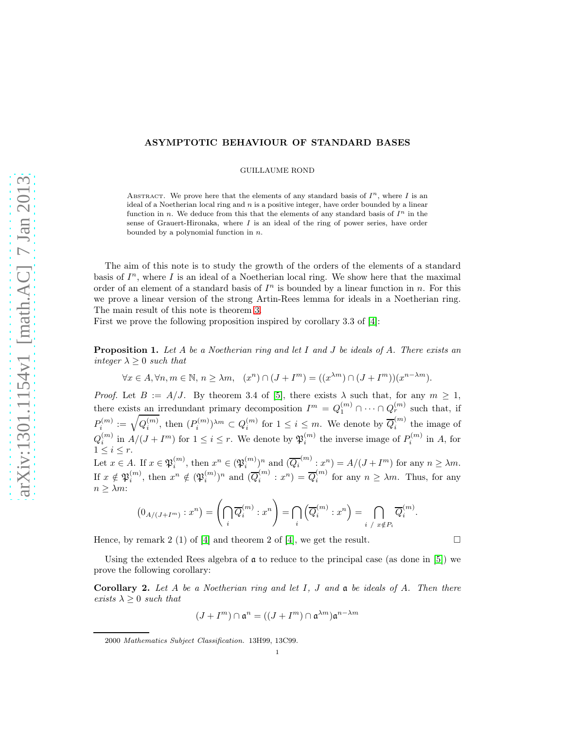## ASYMPTOTIC BEHAVIOUR OF STANDARD BASES

GUILLAUME ROND

ABSTRACT. We prove here that the elements of any standard basis of  $I<sup>n</sup>$ , where I is an ideal of a Noetherian local ring and  $n$  is a positive integer, have order bounded by a linear function in n. We deduce from this that the elements of any standard basis of  $I<sup>n</sup>$  in the sense of Grauert-Hironaka, where  $I$  is an ideal of the ring of power series, have order bounded by a polynomial function in  $n$ .

The aim of this note is to study the growth of the orders of the elements of a standard basis of  $I<sup>n</sup>$ , where I is an ideal of a Noetherian local ring. We show here that the maximal order of an element of a standard basis of  $I<sup>n</sup>$  is bounded by a linear function in n. For this we prove a linear version of the strong Artin-Rees lemma for ideals in a Noetherian ring. The main result of this note is theorem [3.](#page-1-0)

First we prove the following proposition inspired by corollary 3.3 of [\[4\]](#page-2-0):

<span id="page-0-0"></span>**Proposition 1.** Let A be a Noetherian ring and let I and J be ideals of A. There exists an integer  $\lambda \geq 0$  such that

$$
\forall x \in A, \forall n, m \in \mathbb{N}, n \ge \lambda m, \quad (x^n) \cap (J + I^m) = ((x^{\lambda m}) \cap (J + I^m))(x^{n-\lambda m}).
$$

*Proof.* Let  $B := A/J$ . By theorem 3.4 of [\[5\]](#page-2-1), there exists  $\lambda$  such that, for any  $m \geq 1$ , there exists an irredundant primary decomposition  $I^m = Q_1^{(m)} \cap \cdots \cap Q_r^{(m)}$  such that, if  $P_i^{(m)} := \sqrt{Q_i^{(m)}}, \text{ then } (P_i^{(m)})^{\lambda m} \subset Q_i^{(m)} \text{ for } 1 \leq i \leq m.$  We denote by  $\overline{Q}_i^{(m)}$  $i^{(m)}$  the image of  $Q_i^{(m)}$  in  $A/(J+I^m)$  for  $1 \leq i \leq r$ . We denote by  $\mathfrak{P}_i^{(m)}$  the inverse image of  $P_i^{(m)}$  in A, for  $1 \leq i \leq r$ . Let  $x \in A$ . If  $x \in \mathfrak{P}_i^{(m)}$  $i^{(m)}$ , then  $x^n \in (\mathfrak{P}_i^{(m)})$  $\binom{m}{i}$ <sup>n</sup> and  $(\overline{Q_i}^{(m)}:x^n) = A/(J+I^m)$  for any  $n \ge \lambda m$ . If  $x \notin \mathfrak{P}_i^{(m)}$ , then  $x^n \notin (\mathfrak{P}_i^{(m)})^n$  and  $(\overline{Q}_i^{(m)})$  $\overline{Q}_i^{(m)}$  :  $x^n$ ) =  $\overline{Q}_i^{(m)}$  $\sum_{i=1}^{n}$  for any  $n \geq \lambda m$ . Thus, for any  $n > \lambda m$ :

$$
(0_{A/(J+I^m)}:x^n)=\left(\bigcap_i \overline{Q}_i^{(m)}:x^n\right)=\bigcap_i \left(\overline{Q}_i^{(m)}:x^n\right)=\bigcap_{i\;\;/\;\;x\notin P_i} \overline{Q}_i^{(m)}.
$$

Hence, by remark 2 (1) of [\[4\]](#page-2-0) and theorem 2 of [4], we get the result.

Using the extended Rees algebra of  $\alpha$  to reduce to the principal case (as done in [\[5\]](#page-2-1)) we prove the following corollary:

<span id="page-0-1"></span>**Corollary 2.** Let A be a Noetherian ring and let I, J and  $\alpha$  be ideals of A. Then there exists  $\lambda \geq 0$  such that

$$
(J+I^m)\cap \mathfrak{a}^n=((J+I^m)\cap \mathfrak{a}^{\lambda m})\mathfrak{a}^{n-\lambda m}
$$

<sup>2000</sup> Mathematics Subject Classification. 13H99, 13C99.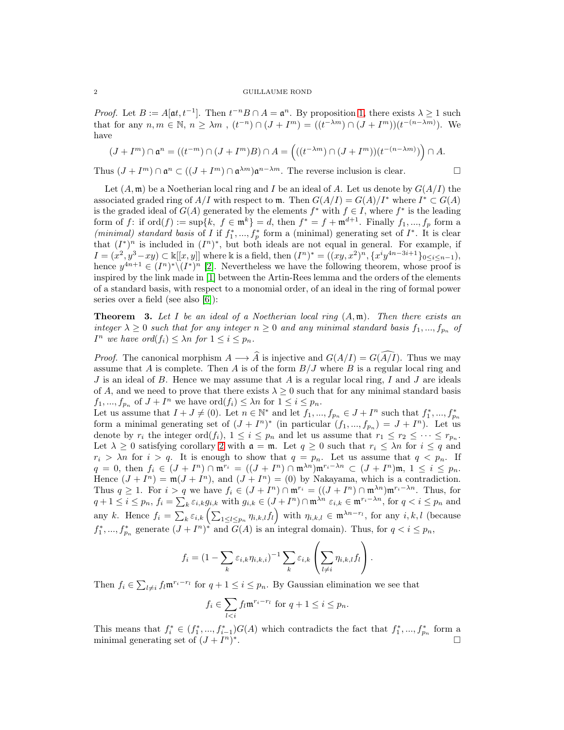## 2 GUILLAUME ROND

*Proof.* Let  $B := A[\mathfrak{a}t, t^{-1}]$ . Then  $t^{-n}B \cap A = \mathfrak{a}^n$ . By proposition [1,](#page-0-0) there exists  $\lambda \geq 1$  such that for any  $n, m \in \mathbb{N}, n \geq \lambda m$ ,  $(t^{-n}) \cap (J + I^m) = ((t^{-\lambda m}) \cap (J + I^m)) (t^{-(n-\lambda m)})$ . We have

$$
(J+I^m)\cap \mathfrak{a}^n=((t^{-m})\cap (J+I^m)B)\cap A=\left(((t^{-\lambda m})\cap (J+I^m))(t^{-(n-\lambda m)})\right)\cap A.
$$

Thus  $(J + I^m) \cap \mathfrak{a}^n \subset ((J + I^m) \cap \mathfrak{a}^{\lambda m}) \mathfrak{a}^{n-\lambda m}$ . The reverse inclusion is clear.

Let  $(A, \mathfrak{m})$  be a Noetherian local ring and I be an ideal of A. Let us denote by  $G(A/I)$  the associated graded ring of  $A/I$  with respect to m. Then  $G(A/I) = G(A)/I^*$  where  $I^* \subset G(A)$ is the graded ideal of  $G(A)$  generated by the elements  $f^*$  with  $f \in I$ , where  $f^*$  is the leading form of f: if  $\mathrm{ord}(f) := \sup\{k, f \in \mathfrak{m}^k\} = d$ , then  $f^* = f + \mathfrak{m}^{d+1}$ . Finally  $f_1, ..., f_p$  form a (minimal) standard basis of I if  $f_1^*,..., f_p^*$  form a (minimal) generating set of  $I^*$ . It is clear that  $(I^*)^n$  is included in  $(I^n)^*$ , but both ideals are not equal in general. For example, if  $I = (x^2, y^3 - xy) \subset \mathbb{k}[[x, y]]$  where k is a field, then  $(I^n)^* = ((xy, x^2)^n, \{x^i y^{4n-3i+1}\}_{0 \le i \le n-1}),$ hence  $y^{4n+1} \in (I^n)^* \setminus (I^*)^n$  [\[2\]](#page-2-2). Nevertheless we have the following theorem, whose proof is inspired by the link made in [\[1\]](#page-2-3) between the Artin-Rees lemma and the orders of the elements of a standard basis, with respect to a monomial order, of an ideal in the ring of formal power series over a field (see also [\[6\]](#page-2-4)):

<span id="page-1-0"></span>**Theorem** 3. Let I be an ideal of a Noetherian local ring  $(A, \mathfrak{m})$ . Then there exists an integer  $\lambda \geq 0$  such that for any integer  $n \geq 0$  and any minimal standard basis  $f_1, ..., f_{p_n}$  of  $I^n$  we have ord $(f_i) \leq \lambda n$  for  $1 \leq i \leq p_n$ .

*Proof.* The canonical morphism  $A \longrightarrow \hat{A}$  is injective and  $G(A/I) = G(\widehat{A/I})$ . Thus we may assume that A is complete. Then A is of the form  $B/J$  where B is a regular local ring and  $J$  is an ideal of  $B$ . Hence we may assume that  $A$  is a regular local ring,  $I$  and  $J$  are ideals of A, and we need to prove that there exists  $\lambda \geq 0$  such that for any minimal standard basis  $f_1, ..., f_{p_n}$  of  $J + I^n$  we have  $\text{ord}(f_i) \leq \lambda n$  for  $1 \leq i \leq p_n$ .

Let us assume that  $I + J \neq (0)$ . Let  $n \in \mathbb{N}^*$  and let  $f_1, ..., f_{p_n} \in J + I^n$  such that  $f_1^*, ..., f_{p_n}^*$ form a minimal generating set of  $(J + I<sup>n</sup>)<sup>*</sup>$  (in particular  $(f_1, ..., f_{p_n}) = J + I<sup>n</sup>$ ). Let us denote by  $r_i$  the integer ord $(f_i)$ ,  $1 \leq i \leq p_n$  and let us assume that  $r_1 \leq r_2 \leq \cdots \leq r_{p_n}$ . Let  $\lambda \geq 0$  satisfying corollary [2](#page-0-1) with  $\mathfrak{a} = \mathfrak{m}$ . Let  $q \geq 0$  such that  $r_i \leq \lambda n$  for  $i \leq q$  and  $r_i > \lambda n$  for  $i > q$ . It is enough to show that  $q = p_n$ . Let us assume that  $q < p_n$ . If  $q = 0$ , then  $f_i \in (J + I^n) \cap \mathfrak{m}^{r_i} = ((J + I^n) \cap \mathfrak{m}^{\lambda n}) \mathfrak{m}^{r_i - \lambda n} \subset (J + I^n) \mathfrak{m}, 1 \le i \le p_n$ . Hence  $(J + I^n) = \mathfrak{m}(J + I^n)$ , and  $(J + I^n) = (0)$  by Nakayama, which is a contradiction. Thus  $q \ge 1$ . For  $i > q$  we have  $f_i \in (J + I<sup>n</sup>) \cap \mathfrak{m}^{r_i} = ((J + I<sup>n</sup>) \cap \mathfrak{m}^{\lambda n}) \mathfrak{m}^{r_i - \lambda n}$ . Thus, for  $q + 1 \leq i \leq p_n$ ,  $f_i = \sum_k \varepsilon_{i,k} g_{i,k}$  with  $g_{i,k} \in (J + I<sup>n</sup>) \cap \mathfrak{m}^{\lambda n}$   $\varepsilon_{i,k} \in \mathfrak{m}^{r_i - \lambda n}$ , for  $q < i \leq p_n$  and any k. Hence  $f_i = \sum_{k} \varepsilon_{i,k} \left( \sum_{1 \leq l \leq p_n} \eta_{i,k,l} f_l \right)$  with  $\eta_{i,k,l} \in \mathfrak{m}^{\lambda n - r_l}$ , for any  $i, k, l$  (because  $f_1^*,..., f_{p_n}^*$  generate  $(J+I^n)^*$  and  $G(A)$  is an integral domain). Thus, for  $q < i \leq p_n$ ,

$$
f_i = (1 - \sum_k \varepsilon_{i,k} \eta_{i,k,i})^{-1} \sum_k \varepsilon_{i,k} \left( \sum_{l \neq i} \eta_{i,k,l} f_l \right).
$$

Then  $f_i \in \sum_{l \neq i} f_l \mathfrak{m}^{r_i - r_l}$  for  $q + 1 \leq i \leq p_n$ . By Gaussian elimination we see that

$$
f_i \in \sum_{l < i} f_l \mathfrak{m}^{r_i - r_l} \text{ for } q + 1 \le i \le p_n.
$$

This means that  $f_i^* \in (f_1^*,...,f_{i-1}^*)G(A)$  which contradicts the fact that  $f_1^*,...,f_{p_n}^*$  form a minimal generating set of  $(J + I^n)^*$ . The contract of the contract of  $\Gamma$  is the contract of  $\Gamma$